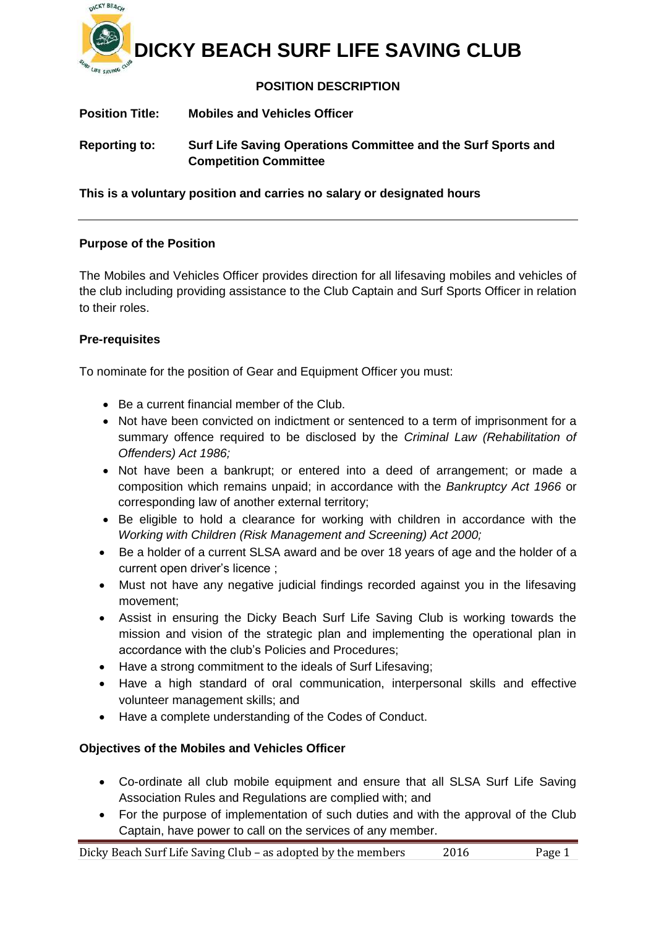

# **DICKY BEACH SURF LIFE SAVING CLUB**

## **POSITION DESCRIPTION**

| <b>Position Title:</b> | <b>Mobiles and Vehicles Officer</b>                                                           |
|------------------------|-----------------------------------------------------------------------------------------------|
| <b>Reporting to:</b>   | Surf Life Saving Operations Committee and the Surf Sports and<br><b>Competition Committee</b> |

**This is a voluntary position and carries no salary or designated hours**

## **Purpose of the Position**

The Mobiles and Vehicles Officer provides direction for all lifesaving mobiles and vehicles of the club including providing assistance to the Club Captain and Surf Sports Officer in relation to their roles.

## **Pre-requisites**

To nominate for the position of Gear and Equipment Officer you must:

- Be a current financial member of the Club.
- Not have been convicted on indictment or sentenced to a term of imprisonment for a summary offence required to be disclosed by the *Criminal Law (Rehabilitation of Offenders) Act 1986;*
- Not have been a bankrupt; or entered into a deed of arrangement; or made a composition which remains unpaid; in accordance with the *Bankruptcy Act 1966* or corresponding law of another external territory;
- Be eligible to hold a clearance for working with children in accordance with the *Working with Children (Risk Management and Screening) Act 2000;*
- Be a holder of a current SLSA award and be over 18 years of age and the holder of a current open driver's licence ;
- Must not have any negative judicial findings recorded against you in the lifesaving movement;
- Assist in ensuring the Dicky Beach Surf Life Saving Club is working towards the mission and vision of the strategic plan and implementing the operational plan in accordance with the club's Policies and Procedures;
- Have a strong commitment to the ideals of Surf Lifesaving;
- Have a high standard of oral communication, interpersonal skills and effective volunteer management skills; and
- Have a complete understanding of the Codes of Conduct.

## **Objectives of the Mobiles and Vehicles Officer**

- Co-ordinate all club mobile equipment and ensure that all SLSA Surf Life Saving Association Rules and Regulations are complied with; and
- For the purpose of implementation of such duties and with the approval of the Club Captain, have power to call on the services of any member.